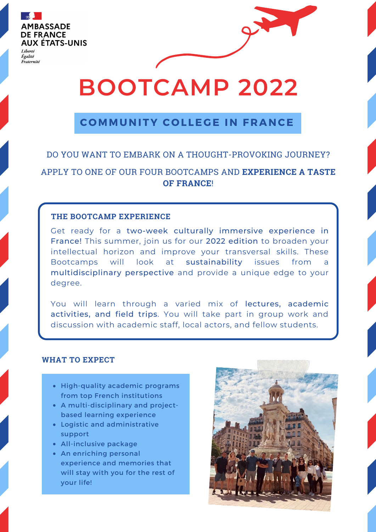

Égalité Eraternité

# **BOOTCAMP 2022**

### **C OMMUNITY C O L LE G E IN F RANCE**

## DO YOU WANT TO EMBARK ON A THOUGHT-PROVOKING JOURNEY?

APPLY TO ONE OF OUR FOUR BOOTCAMPS AND **EXPERIENCE A TASTE OF FRANCE**!

#### **THE BOOTCAMP EXPERIENCE**

Get ready for a two-week culturally immersive experience in France! This summer, join us for our 2022 edition to broaden your intellectual horizon and improve your transversal skills. These Bootcamps will look at sustainability issues from a multidisciplinary perspective and provide a unique edge to your degree.

You will learn through a varied mix of lectures, academic activities, and field trips. You will take part in group work and discussion with academic staff, local actors, and fellow students.

#### **WHAT TO EXPECT**

- High-quality academic programs from top French institutions
- A multi-disciplinary and projectbased learning experience
- Logistic and administrative support
- All-inclusive package
- An enriching personal experience and memories that will stay with you for the rest of your life!

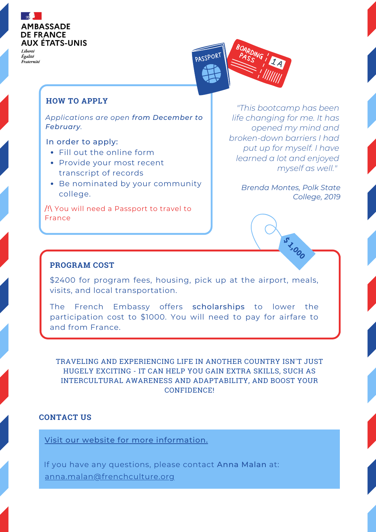

Liberté Égalité Fraternité



#### **HOW TO APPLY**

*Applications are open from December to February.*

#### In order to apply:

- Fill out the online form
- Provide your most recent transcript of records
- Be nominated by your community college.

/!\ You will need a Passport to travel to France

*"This bootcamp has been life changing for me. It has opened my mind and broken-down barriers I had put up for myself. I have learned a lot and enjoyed myself as well."*

> *Brenda Montes, Polk State College, 2019*

> > **\$ 1,000**

#### **PROGRAM COST**

\$2400 for program fees, housing, pick up at the airport, meals, visits, and local transportation.

The French Embassy offers scholarships to lower the participation cost to \$1000. You will need to pay for airfare to and from France.

TRAVELING AND EXPERIENCING LIFE IN ANOTHER COUNTRY ISN'T JUST HUGELY EXCITING - IT CAN HELP YOU GAIN EXTRA SKILLS, SUCH AS INTERCULTURAL AWARENESS AND ADAPTABILITY, AND BOOST YOUR CONFIDENCE!

#### **CONTACT US**

Visit our website for more [information.](https://frenchhighereducation.org/grants-and-programs/5896-community-college-france)

If you have any questions, please contact Anna Malan at: [anna.malan@frenchculture.org](mailto:anna.malan@frenchculture.org)